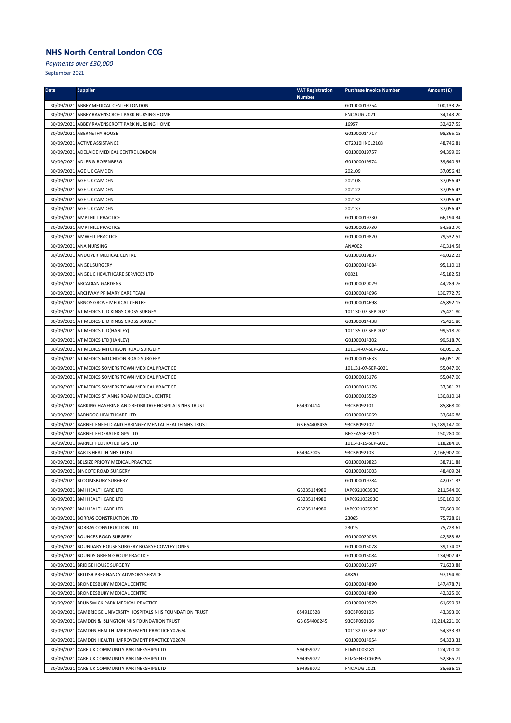*Payments over £30,000*

| <b>Date</b> | <b>Supplier</b>                                                | <b>VAT Registration</b><br><b>Number</b> | <b>Purchase Invoice Number</b> | Amount (£)    |
|-------------|----------------------------------------------------------------|------------------------------------------|--------------------------------|---------------|
|             | 30/09/2021 ABBEY MEDICAL CENTER LONDON                         |                                          | G01000019754                   | 100,133.26    |
|             | 30/09/2021 ABBEY RAVENSCROFT PARK NURSING HOME                 |                                          | <b>FNC AUG 2021</b>            | 34,143.20     |
|             | 30/09/2021 ABBEY RAVENSCROFT PARK NURSING HOME                 |                                          | 16957                          | 32,427.55     |
|             | 30/09/2021 ABERNETHY HOUSE                                     |                                          | G01000014717                   | 98,365.15     |
|             | 30/09/2021 ACTIVE ASSISTANCE                                   |                                          | OT2010HNCL2108                 | 48,746.81     |
|             | 30/09/2021 ADELAIDE MEDICAL CENTRE LONDON                      |                                          | G01000019757                   | 94,399.05     |
|             | 30/09/2021 ADLER & ROSENBERG                                   |                                          | G01000019974                   | 39,640.95     |
|             | 30/09/2021 AGE UK CAMDEN                                       |                                          | 202109                         | 37,056.42     |
|             | 30/09/2021 AGE UK CAMDEN                                       |                                          | 202108                         | 37,056.42     |
|             | 30/09/2021 AGE UK CAMDEN                                       |                                          | 202122                         | 37,056.42     |
|             | 30/09/2021 AGE UK CAMDEN                                       |                                          | 202132                         | 37,056.42     |
|             | 30/09/2021 AGE UK CAMDEN                                       |                                          | 202137                         | 37,056.42     |
|             | 30/09/2021 AMPTHILL PRACTICE                                   |                                          | G01000019730                   | 66,194.34     |
|             | 30/09/2021 AMPTHILL PRACTICE                                   |                                          | G01000019730                   | 54,532.70     |
|             | 30/09/2021 AMWELL PRACTICE                                     |                                          | G01000019820                   | 79,532.51     |
|             | 30/09/2021 ANA NURSING                                         |                                          | <b>ANA002</b>                  | 40,314.58     |
|             | 30/09/2021 ANDOVER MEDICAL CENTRE                              |                                          | G01000019837                   | 49,022.22     |
|             | 30/09/2021 ANGEL SURGERY                                       |                                          | G01000014684                   | 95,110.13     |
|             | 30/09/2021 ANGELIC HEALTHCARE SERVICES LTD                     |                                          | 00821                          | 45,182.53     |
|             | 30/09/2021 ARCADIAN GARDENS                                    |                                          | G01000020029                   | 44.289.76     |
|             | 30/09/2021 ARCHWAY PRIMARY CARE TEAM                           |                                          | G01000014696                   | 130,772.75    |
|             | 30/09/2021 ARNOS GROVE MEDICAL CENTRE                          |                                          | G01000014698                   | 45,892.15     |
|             | 30/09/2021 AT MEDICS LTD KINGS CROSS SURGEY                    |                                          | 101130-07-SEP-2021             | 75,421.80     |
|             | 30/09/2021 AT MEDICS LTD KINGS CROSS SURGEY                    |                                          | G01000014438                   | 75,421.80     |
|             | 30/09/2021 AT MEDICS LTD(HANLEY)                               |                                          | 101135-07-SEP-2021             | 99,518.70     |
|             | 30/09/2021 AT MEDICS LTD(HANLEY)                               |                                          | G01000014302                   | 99,518.70     |
|             | 30/09/2021 AT MEDICS MITCHISON ROAD SURGERY                    |                                          | 101134-07-SEP-2021             | 66,051.20     |
|             | 30/09/2021 AT MEDICS MITCHISON ROAD SURGERY                    |                                          | G01000015633                   | 66,051.20     |
|             | 30/09/2021 AT MEDICS SOMERS TOWN MEDICAL PRACTICE              |                                          | 101131-07-SEP-2021             | 55,047.00     |
|             | 30/09/2021 AT MEDICS SOMERS TOWN MEDICAL PRACTICE              |                                          | G01000015176                   | 55,047.00     |
|             | 30/09/2021 AT MEDICS SOMERS TOWN MEDICAL PRACTICE              |                                          | G01000015176                   | 37,381.22     |
|             | 30/09/2021 AT MEDICS ST ANNS ROAD MEDICAL CENTRE               |                                          | G01000015529                   | 136,810.14    |
|             | 30/09/2021 BARKING HAVERING AND REDBRIDGE HOSPITALS NHS TRUST  | 654924414                                | 93CBP092101                    | 85,868.00     |
|             | 30/09/2021 BARNDOC HEALTHCARE LTD                              |                                          | G01000015069                   | 33,646.88     |
|             | 30/09/2021 BARNET ENFIELD AND HARINGEY MENTAL HEALTH NHS TRUST | GB 654408435                             | 93CBP092102                    | 15,189,147.00 |
|             | 30/09/2021 BARNET FEDERATED GPS LTD                            |                                          | BFGEASSEP2021                  | 150,280.00    |
|             | 30/09/2021 BARNET FEDERATED GPS LTD                            |                                          | 101141-15-SEP-2021             | 118,284.00    |
|             | 30/09/2021 BARTS HEALTH NHS TRUST                              | 654947005                                | 93CBP092103                    | 2,166,902.00  |
|             | 30/09/2021 BELSIZE PRIORY MEDICAL PRACTICE                     |                                          | G01000019823                   | 38,711.88     |
|             | 30/09/2021 BINCOTE ROAD SURGERY                                |                                          | G01000015003                   | 48,409.24     |
|             | 30/09/2021 BLOOMSBURY SURGERY                                  |                                          | G01000019784                   | 42,071.32     |
|             | 30/09/2021 BMI HEALTHCARE LTD                                  | GB235134980                              | IAP092100393C                  | 211,544.00    |
|             | 30/09/2021 BMI HEALTHCARE LTD                                  | GB235134980                              | IAP092103293C                  | 150,160.00    |
|             | 30/09/2021 BMI HEALTHCARE LTD                                  | GB235134980                              | IAP092102593C                  | 70,669.00     |
|             | 30/09/2021 BORRAS CONSTRUCTION LTD                             |                                          | 23065                          | 75,728.61     |
|             | 30/09/2021 BORRAS CONSTRUCTION LTD                             |                                          | 23015                          | 75,728.61     |
|             | 30/09/2021 BOUNCES ROAD SURGERY                                |                                          | G01000020035                   | 42,583.68     |
|             | 30/09/2021 BOUNDARY HOUSE SURGERY BOAKYE COWLEY JONES          |                                          | G01000015078                   | 39,174.02     |
|             | 30/09/2021 BOUNDS GREEN GROUP PRACTICE                         |                                          | G01000015084                   | 134,907.47    |
|             | 30/09/2021 BRIDGE HOUSE SURGERY                                |                                          | G01000015197                   | 71,633.88     |
|             | 30/09/2021 BRITISH PREGNANCY ADVISORY SERVICE                  |                                          | 48820                          | 97,194.80     |
|             | 30/09/2021 BRONDESBURY MEDICAL CENTRE                          |                                          | G01000014890                   | 147,478.71    |
|             | 30/09/2021 BRONDESBURY MEDICAL CENTRE                          |                                          | G01000014890                   | 42,325.00     |
|             | 30/09/2021 BRUNSWICK PARK MEDICAL PRACTICE                     |                                          | G01000019979                   | 61,690.93     |
|             | 30/09/2021 CAMBRIDGE UNIVERSITY HOSPITALS NHS FOUNDATION TRUST | 654910528                                | 93CBP092105                    | 43,393.00     |
|             | 30/09/2021 CAMDEN & ISLINGTON NHS FOUNDATION TRUST             | GB 654406245                             | 93CBP092106                    | 10,214,221.00 |
|             | 30/09/2021 CAMDEN HEALTH IMPROVEMENT PRACTICE Y02674           |                                          | 101132-07-SEP-2021             | 54,333.33     |
|             | 30/09/2021 CAMDEN HEALTH IMPROVEMENT PRACTICE Y02674           |                                          | G01000014954                   | 54,333.33     |
|             | 30/09/2021 CARE UK COMMUNITY PARTNERSHIPS LTD                  | 594959072                                | ELMST003181                    | 124,200.00    |
|             | 30/09/2021 CARE UK COMMUNITY PARTNERSHIPS LTD                  | 594959072                                | ELIZAENFCCG095                 | 52,365.71     |
|             | 30/09/2021 CARE UK COMMUNITY PARTNERSHIPS LTD                  | 594959072                                | <b>FNC AUG 2021</b>            | 35,636.18     |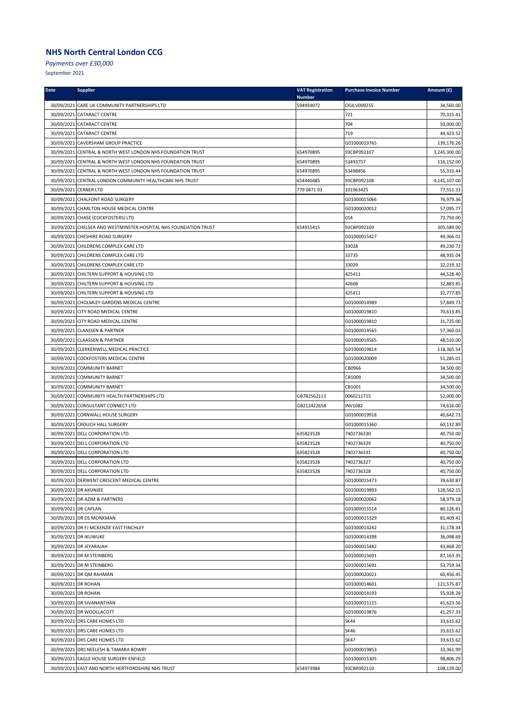*Payments over £30,000*

| <b>Date</b>          | <b>Supplier</b>                                                  | <b>VAT Registration</b><br><b>Number</b> | <b>Purchase Invoice Number</b> | Amount (£)   |
|----------------------|------------------------------------------------------------------|------------------------------------------|--------------------------------|--------------|
|                      | 30/09/2021 CARE UK COMMUNITY PARTNERSHIPS LTD                    | 594959072                                | OGILV009255                    | 34,560.00    |
|                      | 30/09/2021 CATARACT CENTRE                                       |                                          | 721                            | 70,315.41    |
|                      | 30/09/2021 CATARACT CENTRE                                       |                                          | 704                            | 50,000.00    |
|                      | 30/09/2021 CATARACT CENTRE                                       |                                          | 719                            | 44,423.52    |
|                      | 30/09/2021 CAVERSHAM GROUP PRACTICE                              |                                          | G01000019765                   | 139,176.26   |
|                      | 30/09/2021 CENTRAL & NORTH WEST LONDON NHS FOUNDATION TRUST      | 654970895                                | 93CBP092107                    | 3,245,300.00 |
|                      | 30/09/2021 CENTRAL & NORTH WEST LONDON NHS FOUNDATION TRUST      | 654970895                                | 53493757                       | 116,152.00   |
|                      | 30/09/2021 CENTRAL & NORTH WEST LONDON NHS FOUNDATION TRUST      | 654970895                                | 53498856                       | 55,310.44    |
|                      | 30/09/2021 CENTRAL LONDON COMMUNITY HEALTHCARE NHS TRUST         | 654440485                                | 93CBP092108                    | 4,141,107.00 |
|                      | 30/09/2021 CERNER LTD                                            | 779 0471 93                              | 101963425                      | 77,551.33    |
|                      | 30/09/2021 CHALFONT ROAD SURGERY                                 |                                          | G01000015066                   | 76,979.36    |
|                      | 30/09/2021 CHARLTON HOUSE MEDICAL CENTRE                         |                                          | G01000020012                   | 57,095.77    |
|                      | 30/09/2021 CHASE (COCKFOSTERS) LTD                               |                                          | 014                            | 73,750.00    |
|                      | 30/09/2021 CHELSEA AND WESTMINSTER HOSPITAL NHS FOUNDATION TRUST | 654915415                                | 93CBP092109                    | 305,589.00   |
|                      | 30/09/2021 CHESHIRE ROAD SURGERY                                 |                                          | G01000015427                   | 49,366.01    |
|                      | 30/09/2021 CHILDRENS COMPLEX CARE LTD                            |                                          | 33028                          | 49,230.72    |
|                      | 30/09/2021 CHILDRENS COMPLEX CARE LTD                            |                                          | 33735                          | 48,935.04    |
|                      | 30/09/2021 CHILDRENS COMPLEX CARE LTD                            |                                          | 33029                          | 32,219.32    |
|                      | 30/09/2021 CHILTERN SUPPORT & HOUSING LTD                        |                                          | 425411                         | 44,528.40    |
|                      | 30/09/2021 CHILTERN SUPPORT & HOUSING LTD                        |                                          | 42608                          | 32,883.85    |
|                      | 30/09/2021 CHILTERN SUPPORT & HOUSING LTD                        |                                          | 425411                         | 32,777.85    |
|                      | 30/09/2021 CHOLMLEY GARDENS MEDICAL CENTRE                       |                                          | G01000014989                   | 57,849.73    |
|                      | 30/09/2021 CITY ROAD MEDICAL CENTRE                              |                                          | G01000019810                   | 70,613.85    |
|                      | 30/09/2021 CITY ROAD MEDICAL CENTRE                              |                                          | G01000019810                   | 31,725.00    |
|                      | 30/09/2021 CLAASSEN & PARTNER                                    |                                          | G01000014565                   | 57,360.03    |
|                      | 30/09/2021 CLAASSEN & PARTNER                                    |                                          | G01000014565                   | 48,510.00    |
|                      | 30/09/2021 CLERKENWELL MEDICAL PRACTICE                          |                                          | G01000019814                   | 118,365.54   |
|                      | 30/09/2021 COCKFOSTERS MEDICAL CENTRE                            |                                          | G01000020009                   | 51,285.01    |
|                      | 30/09/2021 COMMUNITY BARNET                                      |                                          | CB0966                         | 34,500.00    |
|                      | 30/09/2021 COMMUNITY BARNET                                      |                                          | CB1009                         | 34,500.00    |
|                      | 30/09/2021 COMMUNITY BARNET                                      |                                          | CB1001                         | 34,500.00    |
|                      | 30/09/2021 COMMUNITY HEALTH PARTNERSHIPS LTD                     | GB782562113                              | 0060211715                     | 52,000.00    |
|                      | 30/09/2021 CONSULTANT CONNECT LTD                                | GB212422658                              | <b>INV1082</b>                 | 74,616.00    |
|                      | 30/09/2021 CORNWALL HOUSE SURGERY                                |                                          | G01000019918                   | 40,642.73    |
|                      | 30/09/2021 CROUCH HALL SURGERY                                   |                                          | G01000015360                   | 60,132.89    |
|                      | 30/09/2021 DELL CORPORATION LTD                                  | 635823528                                | 7402736330                     | 40,750.00    |
|                      | 30/09/2021 DELL CORPORATION LTD                                  | 635823528                                | 7402736329                     | 40,750.00    |
|                      | 30/09/2021 DELL CORPORATION LTD                                  | 635823528                                | 7402736331                     | 40,750.00    |
|                      | 30/09/2021 DELL CORPORATION LTD                                  | 635823528                                | 7402736327                     | 40,750.00    |
|                      | 30/09/2021 DELL CORPORATION LTD                                  | 635823528                                | 7402736328                     | 40,750.00    |
|                      | 30/09/2021 DERWENT CRESCENT MEDICAL CENTRE                       |                                          | G01000015473                   | 39,630.87    |
|                      | 30/09/2021 DR AKUNJEE                                            |                                          | G01000019893                   | 128,562.15   |
|                      | 30/09/2021 DR AZIM & PARTNERS                                    |                                          | G01000020062                   | 58,979.18    |
| 30/09/2021 DR CAPLAN |                                                                  |                                          | G01000015514                   | 80,126.81    |
|                      | 30/09/2021 DR DS MONKMAN                                         |                                          | G01000015329                   | 81,409.41    |
|                      | 30/09/2021 DR FJ MCKENZIE EAST FINCHLEY                          |                                          | G01000014242                   | 31,178.34    |
|                      | 30/09/2021 DR IKUWUKE                                            |                                          | G01000014398                   | 36,098.69    |
|                      | 30/09/2021 DR JEYARAJAH                                          |                                          | G01000015482                   | 43,868.20    |
|                      | 30/09/2021 DR M STEINBERG                                        |                                          | G01000015691                   | 87,163.35    |
|                      | 30/09/2021 DR M STEINBERG                                        |                                          | G01000015691                   | 53,759.34    |
|                      | 30/09/2021 DR QM RAHMAN                                          |                                          | G01000020021                   | 60,456.45    |
| 30/09/2021 DR ROHAN  |                                                                  |                                          | G01000014601                   | 121,575.87   |
| 30/09/2021 DR ROHAN  |                                                                  |                                          | G01000014193                   | 55,928.28    |
|                      | 30/09/2021 DR SIVANANTHAN                                        |                                          | G01000015115                   | 41,623.56    |
|                      | 30/09/2021 DR WOOLLACOTT                                         |                                          | G01000019876                   | 41,257.33    |
|                      | 30/09/2021 DRS CARE HOMES LTD                                    |                                          | SK44                           | 33,615.62    |
|                      | 30/09/2021 DRS CARE HOMES LTD                                    |                                          | SK46                           | 33,615.62    |
|                      | 30/09/2021 DRS CARE HOMES LTD                                    |                                          | SK47                           | 33,615.62    |
|                      | 30/09/2021 DRS NEELESH & TAMARA BOWRY                            |                                          | G01000019853                   | 33,361.99    |
|                      | 30/09/2021 EAGLE HOUSE SURGERY ENFIELD                           |                                          | G01000015305                   | 98,806.29    |
|                      | 30/09/2021 EAST AND NORTH HERTFORDSHIRE NHS TRUST                | 654973984                                | 93CBP092110                    | 108,139.00   |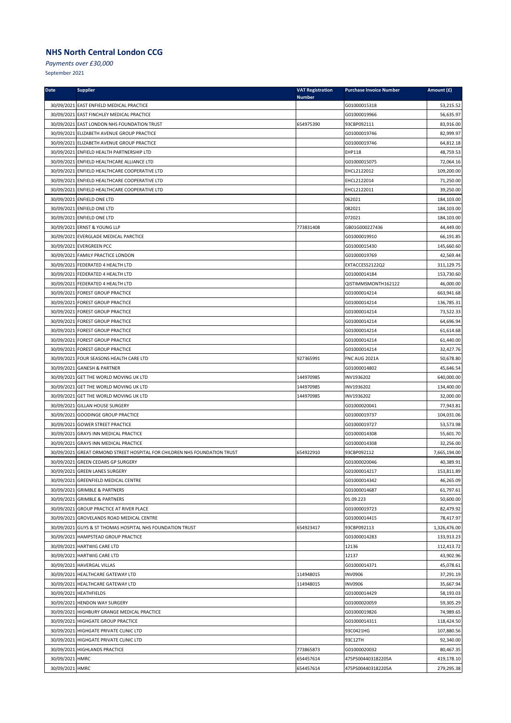*Payments over £30,000*

| Date            | <b>Supplier</b>                                                           | <b>VAT Registration</b><br><b>Number</b> | <b>Purchase Invoice Number</b> | Amount (£)   |
|-----------------|---------------------------------------------------------------------------|------------------------------------------|--------------------------------|--------------|
|                 | 30/09/2021 EAST ENFIELD MEDICAL PRACTICE                                  |                                          | G01000015318                   | 53,215.52    |
|                 | 30/09/2021 EAST FINCHLEY MEDICAL PRACTICE                                 |                                          | G01000019966                   | 56,635.97    |
|                 | 30/09/2021 EAST LONDON NHS FOUNDATION TRUST                               | 654975390                                | 93CBP092111                    | 83,916.00    |
|                 | 30/09/2021 ELIZABETH AVENUE GROUP PRACTICE                                |                                          | G01000019746                   | 82,999.97    |
|                 | 30/09/2021 ELIZABETH AVENUE GROUP PRACTICE                                |                                          | G01000019746                   | 64,812.18    |
|                 | 30/09/2021 ENFIELD HEALTH PARTNERSHIP LTD                                 |                                          | EHP118                         | 48,759.53    |
|                 | 30/09/2021 ENFIELD HEALTHCARE ALLIANCE LTD                                |                                          | G01000015075                   | 72,064.16    |
|                 | 30/09/2021 ENFIELD HEALTHCARE COOPERATIVE LTD                             |                                          | EHCL2122012                    | 109,200.00   |
|                 | 30/09/2021 ENFIELD HEALTHCARE COOPERATIVE LTD                             |                                          | EHCL2122014                    | 71,250.00    |
|                 | 30/09/2021 ENFIELD HEALTHCARE COOPERATIVE LTD                             |                                          | EHCL2122011                    | 39,250.00    |
|                 | 30/09/2021 ENFIELD ONE LTD                                                |                                          | 062021                         | 184,103.00   |
|                 | 30/09/2021 ENFIELD ONE LTD                                                |                                          | 082021                         | 184,103.00   |
|                 | 30/09/2021 ENFIELD ONE LTD                                                |                                          | 072021                         | 184,103.00   |
|                 | 30/09/2021 ERNST & YOUNG LLP                                              | 773831408                                | GB01G000227436                 | 44,449.00    |
|                 | 30/09/2021 EVERGLADE MEDICAL PARCTICE                                     |                                          | G01000019910                   | 66,191.85    |
|                 | 30/09/2021 EVERGREEN PCC                                                  |                                          | G01000015430                   | 145,660.60   |
|                 | 30/09/2021 FAMILY PRACTICE LONDON                                         |                                          | G01000019769                   | 42,569.44    |
|                 | 30/09/2021 FEDERATED 4 HEALTH LTD                                         |                                          | EXTACCESS2122Q2                | 311,129.75   |
|                 | 30/09/2021 FEDERATED 4 HEALTH LTD                                         |                                          | G01000014184                   | 153,730.60   |
|                 | 30/09/2021 FEDERATED 4 HEALTH LTD                                         |                                          | QISTIMMSMONTH162122            | 46,000.00    |
|                 | 30/09/2021 FOREST GROUP PRACTICE                                          |                                          | G01000014214                   | 663,941.68   |
|                 | 30/09/2021 FOREST GROUP PRACTICE                                          |                                          | G01000014214                   | 136,785.31   |
|                 | 30/09/2021 FOREST GROUP PRACTICE                                          |                                          | G01000014214                   | 73,522.33    |
|                 | 30/09/2021 FOREST GROUP PRACTICE                                          |                                          | G01000014214                   | 64,696.94    |
|                 | 30/09/2021 FOREST GROUP PRACTICE                                          |                                          | G01000014214                   | 61,614.68    |
|                 | 30/09/2021 FOREST GROUP PRACTICE                                          |                                          | G01000014214                   | 61,440.00    |
|                 | 30/09/2021 FOREST GROUP PRACTICE                                          |                                          | G01000014214                   | 32,427.76    |
|                 | 30/09/2021 FOUR SEASONS HEALTH CARE LTD                                   | 927365991                                | FNC AUG 2021A                  | 50,678.80    |
|                 | 30/09/2021 GANESH & PARTNER                                               |                                          | G01000014802                   | 45,646.54    |
|                 | 30/09/2021 GET THE WORLD MOVING UK LTD                                    | 144970985                                | INV1936202                     | 640,000.00   |
|                 | 30/09/2021 GET THE WORLD MOVING UK LTD                                    | 144970985                                | INV1936202                     | 134,400.00   |
|                 | 30/09/2021 GET THE WORLD MOVING UK LTD                                    | 144970985                                | INV1936202                     | 32,000.00    |
|                 | 30/09/2021 GILLAN HOUSE SURGERY                                           |                                          | G01000020041                   | 77,943.81    |
|                 | 30/09/2021 GOODINGE GROUP PRACTICE                                        |                                          | G01000019737                   | 104,031.06   |
|                 | 30/09/2021 GOWER STREET PRACTICE                                          |                                          | G01000019727                   | 53,573.98    |
|                 | 30/09/2021 GRAYS INN MEDICAL PRACTICE                                     |                                          | G01000014308                   | 55,601.70    |
|                 | 30/09/2021 GRAYS INN MEDICAL PRACTICE                                     |                                          | G01000014308                   | 32,256.00    |
|                 | 30/09/2021 GREAT ORMOND STREET HOSPITAL FOR CHILDREN NHS FOUNDATION TRUST | 654922910                                | 93CBP092112                    | 7,665,194.00 |
|                 | 30/09/2021 GREEN CEDARS GP SURGERY                                        |                                          | G01000020046                   | 40,389.91    |
|                 | 30/09/2021 GREEN LANES SURGERY                                            |                                          | G01000014217                   | 153,811.89   |
|                 | 30/09/2021 GREENFIELD MEDICAL CENTRE                                      |                                          | G01000014342                   | 46,265.09    |
|                 | 30/09/2021 GRIMBLE & PARTNERS                                             |                                          | G01000014687                   | 61,797.61    |
|                 | 30/09/2021 GRIMBLE & PARTNERS                                             |                                          | 01.09.223                      | 50,600.00    |
|                 | 30/09/2021 GROUP PRACTICE AT RIVER PLACE                                  |                                          | G01000019723                   | 82,479.92    |
|                 | 30/09/2021 GROVELANDS ROAD MEDICAL CENTRE                                 |                                          | G01000014415                   | 78,417.97    |
|                 | 30/09/2021 GUYS & ST THOMAS HOSPITAL NHS FOUNDATION TRUST                 | 654923417                                | 93CBP092113                    | 1,326,476.00 |
|                 | 30/09/2021 HAMPSTEAD GROUP PRACTICE                                       |                                          | G01000014283                   | 133,913.23   |
|                 | 30/09/2021 HARTWIG CARE LTD                                               |                                          | 12136                          | 112,413.72   |
|                 | 30/09/2021 HARTWIG CARE LTD                                               |                                          | 12137                          | 43,902.96    |
|                 | 30/09/2021 HAVERGAL VILLAS                                                |                                          | G01000014371                   | 45,078.61    |
|                 | 30/09/2021 HEALTHCARE GATEWAY LTD                                         | 114948015                                | <b>INV0906</b>                 | 37,291.19    |
|                 | 30/09/2021 HEALTHCARE GATEWAY LTD                                         | 114948015                                | <b>INV0906</b>                 | 35,667.94    |
|                 | 30/09/2021 HEATHFIELDS                                                    |                                          | G01000014429                   | 58,193.03    |
|                 | 30/09/2021 HENDON WAY SURGERY                                             |                                          | G01000020059                   | 59,305.29    |
|                 | 30/09/2021 HIGHBURY GRANGE MEDICAL PRACTICE                               |                                          | G01000019826                   | 74,989.65    |
|                 | 30/09/2021 HIGHGATE GROUP PRACTICE                                        |                                          | G01000014311                   | 118,424.50   |
|                 | 30/09/2021 HIGHGATE PRIVATE CLINIC LTD                                    |                                          | 93C0421HG                      | 107,880.56   |
|                 | 30/09/2021 HIGHGATE PRIVATE CLINIC LTD                                    |                                          | 93C12TH                        | 92,340.00    |
|                 | 30/09/2021 HIGHLANDS PRACTICE                                             | 773865873                                | G01000020032                   | 80,467.35    |
| 30/09/2021 HMRC |                                                                           | 654457614                                | 475PS004403182205A             | 419,178.10   |
| 30/09/2021 HMRC |                                                                           | 654457614                                | 475PS004403182205A             | 279,295.38   |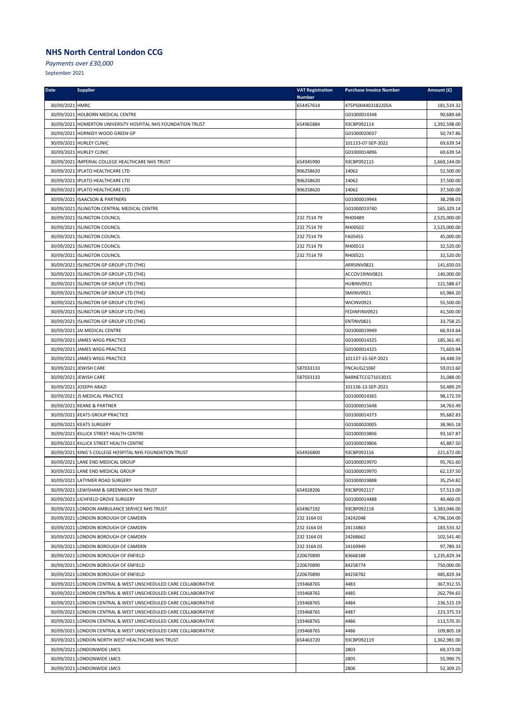*Payments over £30,000*

| <b>Date</b>     | <b>Supplier</b>                                                 | <b>VAT Registration</b><br><b>Number</b> | <b>Purchase Invoice Number</b> | Amount (£)   |
|-----------------|-----------------------------------------------------------------|------------------------------------------|--------------------------------|--------------|
| 30/09/2021 HMRC |                                                                 | 654457614                                | 475PS004403182205A             | 181,519.32   |
|                 | 30/09/2021 HOLBORN MEDICAL CENTRE                               |                                          | G01000014348                   | 90,689.68    |
|                 | 30/09/2021 HOMERTON UNIVERSITY HOSPITAL NHS FOUNDATION TRUST    | 654965884                                | 93CBP092114                    | 1,392,598.00 |
|                 | 30/09/2021 HORNSEY WOOD GREEN GP                                |                                          | G01000020037                   | 50,747.86    |
|                 | 30/09/2021 HURLEY CLINIC                                        |                                          | 101133-07-SEP-2021             | 69,639.54    |
|                 | 30/09/2021 HURLEY CLINIC                                        |                                          | G01000014896                   | 69,639.54    |
|                 | 30/09/2021 IMPERIAL COLLEGE HEALTHCARE NHS TRUST                | 654945990                                | 93CBP092115                    | 1,669,144.00 |
|                 | 30/09/2021   IPLATO HEALTHCARE LTD                              | 906258620                                | 14062                          | 52,500.00    |
|                 | 30/09/2021   IPLATO HEALTHCARE LTD                              | 906258620                                | 14062                          | 37,500.00    |
|                 | 30/09/2021 IPLATO HEALTHCARE LTD                                | 906258620                                | 14062                          | 37,500.00    |
|                 | 30/09/2021 ISAACSON & PARTNERS                                  |                                          | G01000019944                   | 38,298.03    |
|                 | 30/09/2021 ISLINGTON CENTRAL MEDICAL CENTRE                     |                                          | G01000019740                   | 165,329.14   |
|                 | 30/09/2021 ISLINGTON COUNCIL                                    | 232 7514 79                              | RH00489                        | 2,525,000.00 |
|                 | 30/09/2021 ISLINGTON COUNCIL                                    | 232 7514 79                              | RH00502                        | 2,525,000.00 |
|                 | 30/09/2021 ISLINGTON COUNCIL                                    | 232 7514 79                              | FA05455                        | 45,000.00    |
|                 | 30/09/2021 ISLINGTON COUNCIL                                    | 232 7514 79                              | RH00513                        | 32,520.00    |
|                 | 30/09/2021 ISLINGTON COUNCIL                                    | 232 7514 79                              | RH00521                        | 32,520.00    |
|                 | 30/09/2021 ISLINGTON GP GROUP LTD (THE)                         |                                          | ARRSINV0821                    | 141,650.03   |
|                 | 30/09/2021 ISLINGTON GP GROUP LTD (THE)                         |                                          | ACCOV19INV0821                 | 140,000.00   |
|                 | 30/09/2021 ISLINGTON GP GROUP LTD (THE)                         |                                          | HUBINV0921                     | 121,588.67   |
|                 | 30/09/2021 ISLINGTON GP GROUP LTD (THE)                         |                                          | SMIINV0921                     | 65,984.20    |
|                 | 30/09/2021 ISLINGTON GP GROUP LTD (THE)                         |                                          | WICINV0921                     | 55,500.00    |
|                 | 30/09/2021 ISLINGTON GP GROUP LTD (THE)                         |                                          | FEDINFINV0921                  | 41,500.00    |
|                 | 30/09/2021 ISLINGTON GP GROUP LTD (THE)                         |                                          | ENTINV0821                     | 33,758.25    |
|                 | 30/09/2021 JAI MEDICAL CENTRE                                   |                                          | G01000019949                   | 66,914.64    |
|                 | 30/09/2021 JAMES WIGG PRACTICE                                  |                                          | G01000014325                   | 185,361.45   |
|                 | 30/09/2021 JAMES WIGG PRACTICE                                  |                                          | G01000014325                   | 71,603.94    |
|                 | 30/09/2021 JAMES WIGG PRACTICE                                  |                                          | 101137-15-SEP-2021             | 34,448.59    |
|                 | 30/09/2021 JEWISH CARE                                          | 587033133                                | FNCAUG2106F                    | 59,013.60    |
|                 | 30/09/2021 JEWISH CARE                                          | 587033133                                | BARNETCCG71013015              | 31,088.00    |
|                 | 30/09/2021 JOSEPH ARAZI                                         |                                          | 101136-13-SEP-2021             | 50,489.29    |
|                 | 30/09/2021 JS MEDICAL PRACTICE                                  |                                          | G01000014365                   | 98,172.59    |
|                 | 30/09/2021 KEANE & PARTNER                                      |                                          | G01000015648                   | 34,763.49    |
|                 | 30/09/2021 KEATS GROUP PRACTICE                                 |                                          | G01000014373                   | 95,682.83    |
|                 | 30/09/2021 KEATS SURGERY                                        |                                          | G01000020005                   | 38,965.18    |
|                 | 30/09/2021 KILLICK STREET HEALTH CENTRE                         |                                          | G01000019806                   | 93,167.87    |
|                 | 30/09/2021 KILLICK STREET HEALTH CENTRE                         |                                          | G01000019806                   | 45,887.50    |
|                 | 30/09/2021 KING'S COLLEGE HOSPITAL NHS FOUNDATION TRUST         | 654926800                                | 93CBP092116                    | 221,672.00   |
|                 | 30/09/2021 LANE END MEDICAL GROUP                               |                                          | G01000019970                   | 95,761.60    |
|                 | 30/09/2021 LANE END MEDICAL GROUP                               |                                          | G01000019970                   | 62,137.50    |
|                 | 30/09/2021 LATYMER ROAD SURGERY                                 |                                          | G01000019888                   | 35,254.82    |
|                 | 30/09/2021 LEWISHAM & GREENWICH NHS TRUST                       | 654928206                                | 93CBP092117                    | 57,513.00    |
|                 | 30/09/2021 LICHFIELD GROVE SURGERY                              |                                          | G01000014488                   | 40,460.05    |
|                 | 30/09/2021 LONDON AMBULANCE SERVICE NHS TRUST                   | 654967192                                | 93CBP092118                    | 5,383,046.00 |
|                 | 30/09/2021 LONDON BOROUGH OF CAMDEN                             | 232 3164 03                              | 24242048                       | 4,796,104.00 |
|                 | 30/09/2021 LONDON BOROUGH OF CAMDEN                             | 232 3164 03                              | 24114863                       | 183,533.32   |
|                 | 30/09/2021 LONDON BOROUGH OF CAMDEN                             | 232 3164 03                              | 24268662                       | 102,541.40   |
|                 | 30/09/2021 LONDON BOROUGH OF CAMDEN                             | 232 3164 03                              | 24169949                       | 97,789.33    |
|                 | 30/09/2021 LONDON BOROUGH OF ENFIELD                            | 220670890                                | 83668188                       | 1,235,829.34 |
|                 | 30/09/2021 LONDON BOROUGH OF ENFIELD                            | 220670890                                | 84258774                       | 750,000.00   |
|                 | 30/09/2021 LONDON BOROUGH OF ENFIELD                            | 220670890                                | 84258782                       | 485,829.34   |
|                 | 30/09/2021 LONDON CENTRAL & WEST UNSCHEDULED CARE COLLABORATIVE | 193468765                                | 4483                           | 367,912.55   |
|                 | 30/09/2021 LONDON CENTRAL & WEST UNSCHEDULED CARE COLLABORATIVE | 193468765                                | 4485                           | 262,794.65   |
|                 | 30/09/2021 LONDON CENTRAL & WEST UNSCHEDULED CARE COLLABORATIVE | 193468765                                | 4484                           | 236,515.19   |
|                 | 30/09/2021 LONDON CENTRAL & WEST UNSCHEDULED CARE COLLABORATIVE | 193468765                                | 4487                           | 223,375.53   |
|                 | 30/09/2021 LONDON CENTRAL & WEST UNSCHEDULED CARE COLLABORATIVE | 193468765                                | 4486                           | 113,570.35   |
|                 | 30/09/2021 LONDON CENTRAL & WEST UNSCHEDULED CARE COLLABORATIVE | 193468765                                | 4486                           | 109,805.18   |
|                 | 30/09/2021 LONDON NORTH WEST HEALTHCARE NHS TRUST               | 654463720                                | 93CBP092119                    | 1,362,981.00 |
|                 | 30/09/2021 LONDONWIDE LMCS                                      |                                          | 2803                           | 69,373.00    |
|                 | 30/09/2021 LONDONWIDE LMCS                                      |                                          | 2805                           | 55,990.75    |
|                 | 30/09/2021 LONDONWIDE LMCS                                      |                                          | 2806                           | 52,309.25    |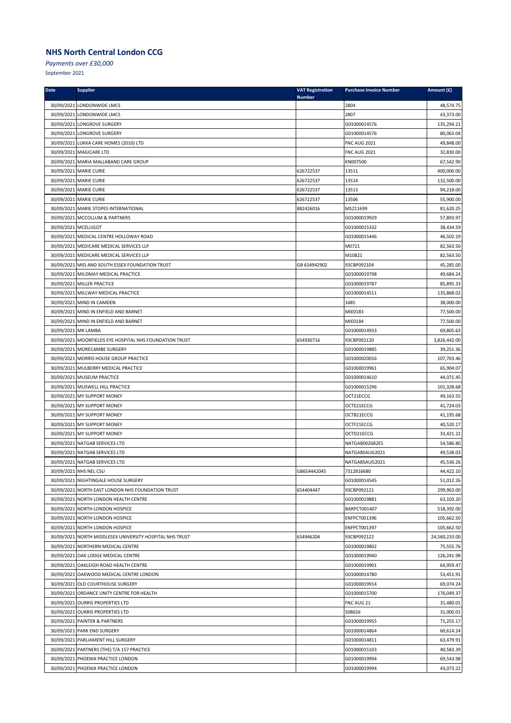*Payments over £30,000*

| <b>Date</b>          | <b>Supplier</b>                                          | <b>VAT Registration</b><br><b>Number</b> | <b>Purchase Invoice Number</b> | Amount (£)    |
|----------------------|----------------------------------------------------------|------------------------------------------|--------------------------------|---------------|
|                      | 30/09/2021 LONDONWIDE LMCS                               |                                          | 2804                           | 48,574.75     |
|                      | 30/09/2021 LONDONWIDE LMCS                               |                                          | 2807                           | 43,373.00     |
|                      | 30/09/2021 LONGROVE SURGERY                              |                                          | G01000014576                   | 135,294.21    |
|                      | 30/09/2021 LONGROVE SURGERY                              |                                          | G01000014576                   | 80,063.04     |
|                      | 30/09/2021 LUKKA CARE HOMES (2010) LTD                   |                                          | <b>FNC AUG 2021</b>            | 49,848.00     |
|                      | 30/09/2021 MAGICARE LTD                                  |                                          | <b>FNC AUG 2021</b>            | 32,830.00     |
|                      | 30/09/2021 MARIA MALLABAND CARE GROUP                    |                                          | KN007500                       | 67,542.90     |
|                      | 30/09/2021 MARIE CURIE                                   | 626722537                                | 13511                          | 400,000.00    |
|                      | 30/09/2021 MARIE CURIE                                   | 626722537                                | 13514                          | 132,500.00    |
|                      | 30/09/2021 MARIE CURIE                                   | 626722537                                | 13513                          | 94,218.00     |
|                      | 30/09/2021 MARIE CURIE                                   | 626722537                                | 13506                          | 55,900.00     |
|                      | 30/09/2021 MARIE STOPES INTERNATIONAL                    | 882426016                                | MS211699                       | 81,620.25     |
|                      | 30/09/2021 MCCOLLUM & PARTNERS                           |                                          | G01000019929                   | 57,893.97     |
| 30/09/2021 MCELLIGOT |                                                          |                                          | G01000015332                   | 38,434.59     |
|                      | 30/09/2021 MEDICAL CENTRE HOLLOWAY ROAD                  |                                          | G01000015446                   | 46,502.19     |
|                      | 30/09/2021 MEDICARE MEDICAL SERVICES LLP                 |                                          | M0721                          | 82,563.50     |
|                      | 30/09/2021 MEDICARE MEDICAL SERVICES LLP                 |                                          | M10821                         | 82,563.50     |
|                      | 30/09/2021 MID AND SOUTH ESSEX FOUNDATION TRUST          | GB 654942902                             | 93CBP092104                    | 45,285.00     |
|                      | 30/09/2021 MILDMAY MEDICAL PRACTICE                      |                                          | G01000019798                   | 49,684.24     |
|                      | 30/09/2021 MILLER PRACTICE                               |                                          | G01000019787                   | 85,895.33     |
|                      | 30/09/2021 MILLWAY MEDICAL PRACTICE                      |                                          | G01000014511                   | 135,868.02    |
|                      | 30/09/2021 MIND IN CAMDEN                                |                                          | 1685                           | 38,000.00     |
|                      | 30/09/2021 MIND IN ENFIELD AND BARNET                    |                                          | MIE0183                        | 77,500.00     |
|                      | 30/09/2021 MIND IN ENFIELD AND BARNET                    |                                          | MIE0184                        | 77,500.00     |
| 30/09/2021 MK LAMBA  |                                                          |                                          | G01000014933                   | 69,805.63     |
|                      | 30/09/2021 MOORFIELDS EYE HOSPITAL NHS FOUNDATION TRUST  | 654930716                                | 93CBP092120                    | 3,826,442.00  |
|                      | 30/09/2021 MORECAMBE SURGERY                             |                                          | G01000019885                   | 39,251.36     |
|                      | 30/09/2021 MORRIS HOUSE GROUP PRACTICE                   |                                          | G01000020016                   | 107,703.46    |
|                      | 30/09/2021 MULBERRY MEDICAL PRACTICE                     |                                          | G01000019961                   | 65,904.07     |
|                      | 30/09/2021 MUSEUM PRACTICE                               |                                          | G01000014610                   | 44,071.45     |
|                      | 30/09/2021 MUSWELL HILL PRACTICE                         |                                          | G01000015296                   | 101,328.68    |
|                      | 30/09/2021 MY SUPPORT MONEY                              |                                          | OCT21ECCG                      | 49,163.55     |
|                      | 30/09/2021 MY SUPPORT MONEY                              |                                          | OCTE21ECCG                     | 41,724.03     |
|                      | 30/09/2021 MY SUPPORT MONEY                              |                                          | OCTB21ECCG                     | 41,195.68     |
|                      | 30/09/2021 MY SUPPORT MONEY                              |                                          | OCTF21ECCG                     | 40,520.17     |
|                      | 30/09/2021 MY SUPPORT MONEY                              |                                          | OCTD21ECCG                     | 33,421.22     |
|                      | 30/09/2021 NATGAB SERVICES LTD                           |                                          | NATGAB002682ES                 | 54,586.80     |
|                      | 30/09/2021 NATGAB SERVICES LTD                           |                                          | NATGABSAUG2021                 | 49,538.03     |
|                      | 30/09/2021 NATGAB SERVICES LTD                           |                                          | NATGABSAUG2021                 | 45,536.26     |
|                      | 30/09/2021 NHS NEL CSU                                   | GB654442045                              | 7312816680                     | 44,422.10     |
|                      | 30/09/2021 NIGHTINGALE HOUSE SURGERY                     |                                          | G01000014545                   | 51,012.26     |
|                      | 30/09/2021 NORTH EAST LONDON NHS FOUNDATION TRUST        | 654404447                                | 93CBP092121                    | 299,963.00    |
|                      | 30/09/2021 NORTH LONDON HEALTH CENTRE                    |                                          | G01000019881                   | 63,103.20     |
|                      | 30/09/2021 NORTH LONDON HOSPICE                          |                                          | BARPCT001407                   | 518,392.00    |
|                      | 30/09/2021 NORTH LONDON HOSPICE                          |                                          | ENFPCT001396                   | 105,662.50    |
|                      | 30/09/2021 NORTH LONDON HOSPICE                          |                                          | ENFPCT001397                   | 105,662.50    |
|                      | 30/09/2021 NORTH MIDDLESEX UNIVERSITY HOSPITAL NHS TRUST | 654946204                                | 93CBP092122                    | 24,560,233.00 |
|                      | 30/09/2021 NORTHERN MEDICAL CENTRE                       |                                          | G01000019802                   | 75,555.76     |
|                      | 30/09/2021 OAK LODGE MEDICAL CENTRE                      |                                          | G01000019940                   | 126,241.98    |
|                      | 30/09/2021 OAKLEIGH ROAD HEALTH CENTRE                   |                                          | G01000019901                   | 64,959.47     |
|                      | 30/09/2021 OAKWOOD MEDICAL CENTRE LONDON                 |                                          | G01000014780                   | 53,451.91     |
|                      | 30/09/2021 OLD COURTHOUSE SURGERY                        |                                          | G01000019914                   | 69,074.24     |
|                      | 30/09/2021 ORDANCE UNITY CENTRE FOR HEALTH               |                                          | G01000015700                   | 176,049.37    |
|                      | 30/09/2021 OURRIS PROPERTIES LTD                         |                                          | FNC AUG 21                     | 31,480.01     |
|                      | 30/09/2021 OURRIS PROPERTIES LTD                         |                                          | 508656                         | 31,000.01     |
|                      | 30/09/2021 PAINTER & PARTNERS                            |                                          | G01000019955                   | 71,255.17     |
|                      | 30/09/2021 PARK END SURGERY                              |                                          | G01000014864                   | 60,614.24     |
|                      | 30/09/2021 PARLIAMENT HILL SURGERY                       |                                          | G01000014811                   | 63,479.91     |
|                      | 30/09/2021 PARTNERS (THE) T/A 157 PRACTICE               |                                          | G01000015103                   | 40,583.39     |
|                      | 30/09/2021 PHOENIX PRACTICE LONDON                       |                                          | G01000019994                   | 69,543.98     |
|                      | 30/09/2021 PHOENIX PRACTICE LONDON                       |                                          | G01000019994                   | 43,073.22     |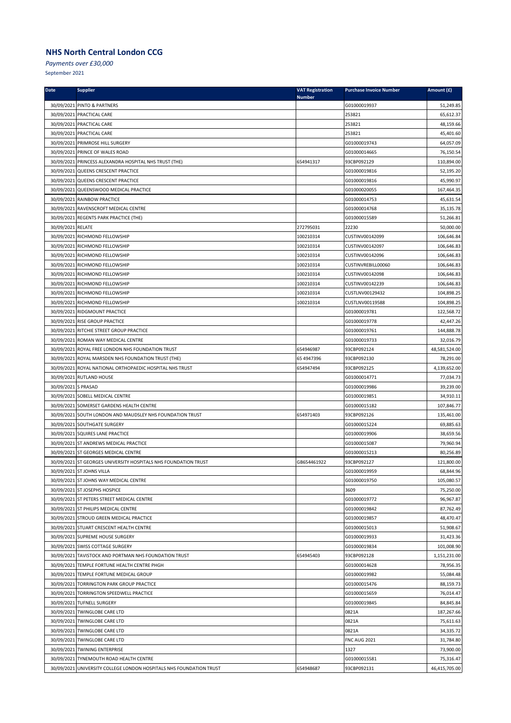*Payments over £30,000*

| <b>Date</b>         | <b>Supplier</b>                                                                                                | <b>VAT Registration</b><br><b>Number</b> | <b>Purchase Invoice Number</b> | Amount (£)                 |
|---------------------|----------------------------------------------------------------------------------------------------------------|------------------------------------------|--------------------------------|----------------------------|
|                     | 30/09/2021 PINTO & PARTNERS                                                                                    |                                          | G01000019937                   | 51,249.85                  |
|                     | 30/09/2021 PRACTICAL CARE                                                                                      |                                          | 253821                         | 65,612.37                  |
|                     | 30/09/2021 PRACTICAL CARE                                                                                      |                                          | 253821                         | 48,159.66                  |
|                     | 30/09/2021 PRACTICAL CARE                                                                                      |                                          | 253821                         | 45,401.60                  |
|                     | 30/09/2021 PRIMROSE HILL SURGERY                                                                               |                                          | G01000019743                   | 64,057.09                  |
|                     | 30/09/2021 PRINCE OF WALES ROAD                                                                                |                                          | G01000014665                   | 76,150.54                  |
|                     | 30/09/2021 PRINCESS ALEXANDRA HOSPITAL NHS TRUST (THE)                                                         | 654941317                                | 93CBP092129                    | 110,894.00                 |
|                     | 30/09/2021 QUEENS CRESCENT PRACTICE                                                                            |                                          | G01000019816                   | 52,195.20                  |
|                     | 30/09/2021 QUEENS CRESCENT PRACTICE                                                                            |                                          | G01000019816                   | 45,990.97                  |
|                     | 30/09/2021 QUEENSWOOD MEDICAL PRACTICE                                                                         |                                          | G01000020055                   | 167,464.35                 |
|                     | 30/09/2021 RAINBOW PRACTICE                                                                                    |                                          | G01000014753                   | 45,631.54                  |
|                     | 30/09/2021 RAVENSCROFT MEDICAL CENTRE                                                                          |                                          | G01000014768                   | 35,135.78                  |
|                     | 30/09/2021 REGENTS PARK PRACTICE (THE)                                                                         |                                          | G01000015589                   | 51,266.81                  |
| 30/09/2021 RELATE   |                                                                                                                | 272795031                                | 22230                          | 50,000.00                  |
|                     | 30/09/2021 RICHMOND FELLOWSHIP                                                                                 | 100210314                                | CUSTINV00142099                | 106,646.84                 |
|                     | 30/09/2021 RICHMOND FELLOWSHIP                                                                                 | 100210314                                | CUSTINV00142097                | 106,646.83                 |
|                     | 30/09/2021 RICHMOND FELLOWSHIP                                                                                 | 100210314                                | CUSTINV00142096                | 106,646.83                 |
|                     | 30/09/2021 RICHMOND FELLOWSHIP                                                                                 | 100210314                                | CUSTINVREBILL00060             | 106,646.83                 |
|                     | 30/09/2021 RICHMOND FELLOWSHIP                                                                                 | 100210314                                | CUSTINV00142098                | 106,646.83                 |
|                     | 30/09/2021 RICHMOND FELLOWSHIP                                                                                 | 100210314                                | CUSTINV00142239                | 106,646.83                 |
|                     | 30/09/2021 RICHMOND FELLOWSHIP                                                                                 | 100210314                                | CUSTLNV00129432                | 104,898.25                 |
|                     | 30/09/2021 RICHMOND FELLOWSHIP                                                                                 | 100210314                                | CUSTLNV00119588                | 104,898.25                 |
|                     | 30/09/2021 RIDGMOUNT PRACTICE                                                                                  |                                          | G01000019781                   | 122,568.72                 |
|                     | 30/09/2021 RISE GROUP PRACTICE                                                                                 |                                          | G01000019778                   | 42,447.26                  |
|                     | 30/09/2021 RITCHIE STREET GROUP PRACTICE                                                                       |                                          | G01000019761                   | 144,888.78                 |
|                     | 30/09/2021 ROMAN WAY MEDICAL CENTRE                                                                            |                                          | G01000019733                   | 32,016.79                  |
|                     | 30/09/2021 ROYAL FREE LONDON NHS FOUNDATION TRUST                                                              | 654946987                                | 93CBP092124                    | 48,581,524.00              |
|                     | 30/09/2021 ROYAL MARSDEN NHS FOUNDATION TRUST (THE)                                                            | 65 4947396                               | 93CBP092130                    | 78,291.00                  |
|                     | 30/09/2021 ROYAL NATIONAL ORTHOPAEDIC HOSPITAL NHS TRUST                                                       | 654947494                                | 93CBP092125                    | 4,139,652.00               |
|                     | 30/09/2021 RUTLAND HOUSE                                                                                       |                                          | G01000014771                   | 77,034.73                  |
| 30/09/2021 S PRASAD |                                                                                                                |                                          | G01000019986                   | 39,239.00                  |
|                     | 30/09/2021 SOBELL MEDICAL CENTRE                                                                               |                                          | G01000019851                   | 34,910.11                  |
|                     | 30/09/2021 SOMERSET GARDENS HEALTH CENTRE                                                                      |                                          | G01000015182                   | 107,846.77                 |
|                     | 30/09/2021 SOUTH LONDON AND MAUDSLEY NHS FOUNDATION TRUST                                                      | 654971403                                | 93CBP092126                    | 135,461.00                 |
|                     | 30/09/2021 SOUTHGATE SURGERY                                                                                   |                                          | G01000015224                   | 69,885.63                  |
|                     | 30/09/2021 SQUIRES LANE PRACTICE                                                                               |                                          | G01000019906                   | 38,659.56                  |
|                     | 30/09/2021 ST ANDREWS MEDICAL PRACTICE                                                                         |                                          | G01000015087                   | 79,960.94                  |
|                     | 30/09/2021 ST GEORGES MEDICAL CENTRE                                                                           |                                          | G01000015213                   | 80,256.89                  |
|                     | 30/09/2021 ST GEORGES UNIVERSITY HOSPITALS NHS FOUNDATION TRUST                                                | GB654461922                              | 93CBP092127                    | 121,800.00                 |
|                     | 30/09/2021 ST JOHNS VILLA                                                                                      |                                          | G01000019959                   | 68,844.96                  |
|                     | 30/09/2021 ST JOHNS WAY MEDICAL CENTRE                                                                         |                                          | G01000019750                   | 105,080.57                 |
|                     | 30/09/2021 ST JOSEPHS HOSPICE                                                                                  |                                          | 3609                           | 75,250.00                  |
|                     | 30/09/2021 ST PETERS STREET MEDICAL CENTRE                                                                     |                                          | G01000019772                   | 96,967.87                  |
|                     | 30/09/2021 ST PHILIPS MEDICAL CENTRE                                                                           |                                          | G01000019842                   | 87,762.49                  |
|                     | 30/09/2021 STROUD GREEN MEDICAL PRACTICE                                                                       |                                          | G01000019857                   | 48,470.47                  |
|                     | 30/09/2021 STUART CRESCENT HEALTH CENTRE                                                                       |                                          | G01000015013                   | 51,908.67                  |
|                     | 30/09/2021 SUPREME HOUSE SURGERY                                                                               |                                          | G01000019933                   | 31,423.36                  |
|                     | 30/09/2021 SWISS COTTAGE SURGERY                                                                               |                                          | G01000019834                   | 101,008.90                 |
|                     | 30/09/2021 TAVISTOCK AND PORTMAN NHS FOUNDATION TRUST                                                          | 654945403                                | 93CBP092128                    | 1,151,231.00               |
|                     | 30/09/2021 TEMPLE FORTUNE HEALTH CENTRE PHGH                                                                   |                                          | G01000014628                   | 78,956.35                  |
|                     | 30/09/2021 TEMPLE FORTUNE MEDICAL GROUP                                                                        |                                          | G01000019982                   | 55,084.48                  |
|                     | 30/09/2021 TORRINGTON PARK GROUP PRACTICE                                                                      |                                          | G01000015476                   | 88,159.73                  |
|                     | 30/09/2021 TORRINGTON SPEEDWELL PRACTICE                                                                       |                                          | G01000015659                   | 76,014.47                  |
|                     | 30/09/2021 TUFNELL SURGERY                                                                                     |                                          | G01000019845                   | 84,845.84                  |
|                     | 30/09/2021 TWINGLOBE CARE LTD                                                                                  |                                          | 0821A                          | 187,267.66                 |
|                     | 30/09/2021 TWINGLOBE CARE LTD                                                                                  |                                          | 0821A                          | 75,611.63                  |
|                     | 30/09/2021 TWINGLOBE CARE LTD                                                                                  |                                          | 0821A                          | 34,335.72                  |
|                     | 30/09/2021 TWINGLOBE CARE LTD                                                                                  |                                          | <b>FNC AUG 2021</b>            | 31,784.80                  |
|                     | 30/09/2021 TWINING ENTERPRISE                                                                                  |                                          | 1327                           | 73,900.00                  |
|                     | 30/09/2021 TYNEMOUTH ROAD HEALTH CENTRE<br>30/09/2021 UNIVERSITY COLLEGE LONDON HOSPITALS NHS FOUNDATION TRUST | 654948687                                | G01000015581<br>93CBP092131    | 75,316.47<br>46,415,705.00 |
|                     |                                                                                                                |                                          |                                |                            |